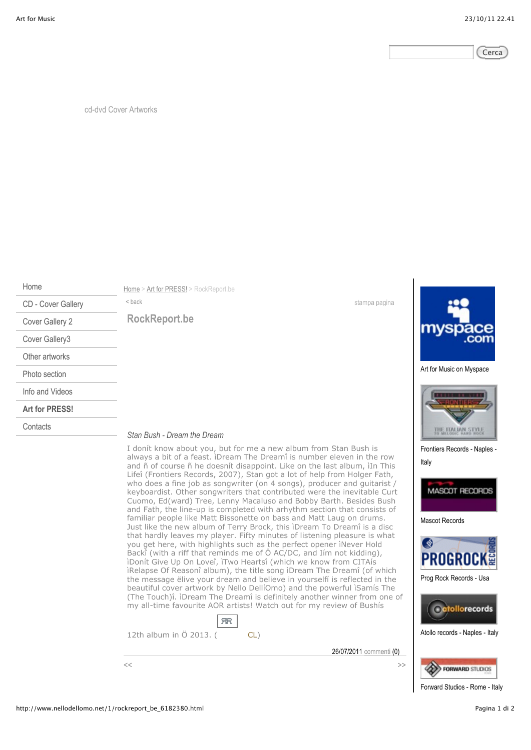

cd-dvd Cover Artworks

Home

CD - Cover Gallery Cover Gallery 2 Cover Gallery3 Other artworks Photo section Info and Videos **Art for PRESS!**

Home > Art for PRESS! > RockReport.be <br/>back stampa pagina

**RockReport.be**

**Contacts** 

## *Stan Bush - Dream the Dream*

I donít know about you, but for me a new album from Stan Bush is always a bit of a feast. ìDream The Dreamî is number eleven in the row and ñ of course ñ he doesnít disappoint. Like on the last album, ìIn This Lifeî (Frontiers Records, 2007), Stan got a lot of help from Holger Fath, who does a fine job as songwriter (on 4 songs), producer and guitarist / keyboardist. Other songwriters that contributed were the inevitable Curt Cuomo, Ed(ward) Tree, Lenny Macaluso and Bobby Barth. Besides Bush and Fath, the line-up is completed with arhythm section that consists of familiar people like Matt Bissonette on bass and Matt Laug on drums. Just like the new album of Terry Brock, this ìDream To Dreamî is a disc that hardly leaves my player. Fifty minutes of listening pleasure is what you get here, with highlights such as the perfect opener ìNever Hold Backî (with a riff that reminds me of Ö AC/DC, and Iím not kidding), ìDonít Give Up On Loveî, ìTwo Heartsî (which we know from CITAís ìRelapse Of Reasonî album), the title song ìDream The Dreamî (of which the message ëlive your dream and believe in yourselfí is reflected in the beautiful cover artwork by Nello DellíOmo) and the powerful ìSamís The (The Touch)î. ìDream The Dreamî is definitely another winner from one of my all-time favourite AOR artists! Watch out for my review of Bushís





Art for Music on Myspace



Frontiers Records - Naples - Italy



Mascot Records



Prog Rock Records - Usa





Forward Studios - Rome - Italy